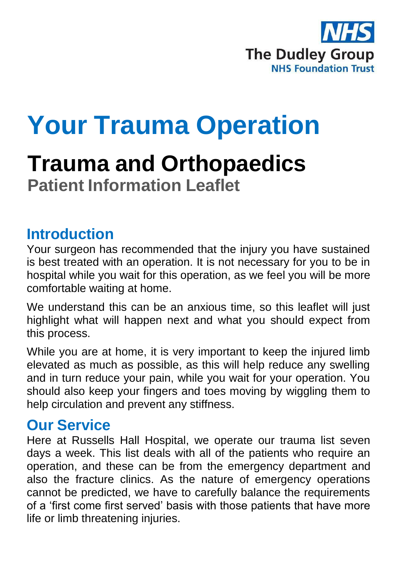

# **Your Trauma Operation**

# **Trauma and Orthopaedics Patient Information Leaflet**

### **Introduction**

Your surgeon has recommended that the injury you have sustained is best treated with an operation. It is not necessary for you to be in hospital while you wait for this operation, as we feel you will be more comfortable waiting at home.

We understand this can be an anxious time, so this leaflet will just highlight what will happen next and what you should expect from this process.

While you are at home, it is very important to keep the injured limb elevated as much as possible, as this will help reduce any swelling and in turn reduce your pain, while you wait for your operation. You should also keep your fingers and toes moving by wiggling them to help circulation and prevent any stiffness.

#### **Our Service**

Here at Russells Hall Hospital, we operate our trauma list seven days a week. This list deals with all of the patients who require an operation, and these can be from the emergency department and also the fracture clinics. As the nature of emergency operations cannot be predicted, we have to carefully balance the requirements of a 'first come first served' basis with those patients that have more life or limb threatening injuries.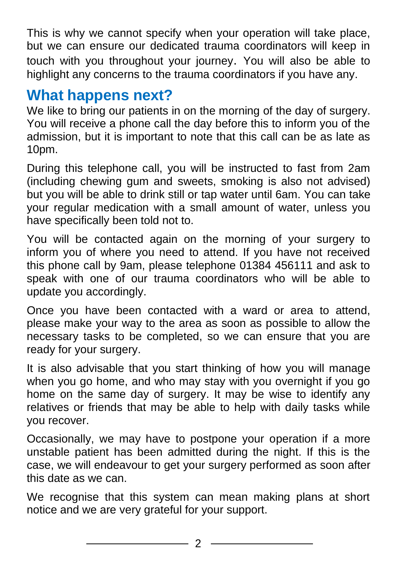This is why we cannot specify when your operation will take place, but we can ensure our dedicated trauma coordinators will keep in touch with you throughout your journey. You will also be able to highlight any concerns to the trauma coordinators if you have any.

## **What happens next?**

We like to bring our patients in on the morning of the day of surgery. You will receive a phone call the day before this to inform you of the admission, but it is important to note that this call can be as late as 10pm.

During this telephone call, you will be instructed to fast from 2am (including chewing gum and sweets, smoking is also not advised) but you will be able to drink still or tap water until 6am. You can take your regular medication with a small amount of water, unless you have specifically been told not to.

You will be contacted again on the morning of your surgery to inform you of where you need to attend. If you have not received this phone call by 9am, please telephone 01384 456111 and ask to speak with one of our trauma coordinators who will be able to update you accordingly.

Once you have been contacted with a ward or area to attend, please make your way to the area as soon as possible to allow the necessary tasks to be completed, so we can ensure that you are ready for your surgery.

It is also advisable that you start thinking of how you will manage when you go home, and who may stay with you overnight if you go home on the same day of surgery. It may be wise to identify any relatives or friends that may be able to help with daily tasks while you recover.

Occasionally, we may have to postpone your operation if a more unstable patient has been admitted during the night. If this is the case, we will endeavour to get your surgery performed as soon after this date as we can.

We recognise that this system can mean making plans at short notice and we are very grateful for your support.